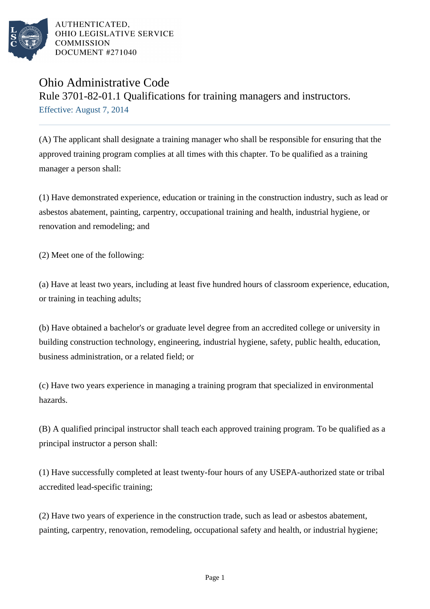

AUTHENTICATED. OHIO LEGISLATIVE SERVICE **COMMISSION** DOCUMENT #271040

## Ohio Administrative Code Rule 3701-82-01.1 Qualifications for training managers and instructors. Effective: August 7, 2014

(A) The applicant shall designate a training manager who shall be responsible for ensuring that the approved training program complies at all times with this chapter. To be qualified as a training manager a person shall:

(1) Have demonstrated experience, education or training in the construction industry, such as lead or asbestos abatement, painting, carpentry, occupational training and health, industrial hygiene, or renovation and remodeling; and

(2) Meet one of the following:

(a) Have at least two years, including at least five hundred hours of classroom experience, education, or training in teaching adults;

(b) Have obtained a bachelor's or graduate level degree from an accredited college or university in building construction technology, engineering, industrial hygiene, safety, public health, education, business administration, or a related field; or

(c) Have two years experience in managing a training program that specialized in environmental hazards.

(B) A qualified principal instructor shall teach each approved training program. To be qualified as a principal instructor a person shall:

(1) Have successfully completed at least twenty-four hours of any USEPA-authorized state or tribal accredited lead-specific training;

(2) Have two years of experience in the construction trade, such as lead or asbestos abatement, painting, carpentry, renovation, remodeling, occupational safety and health, or industrial hygiene;